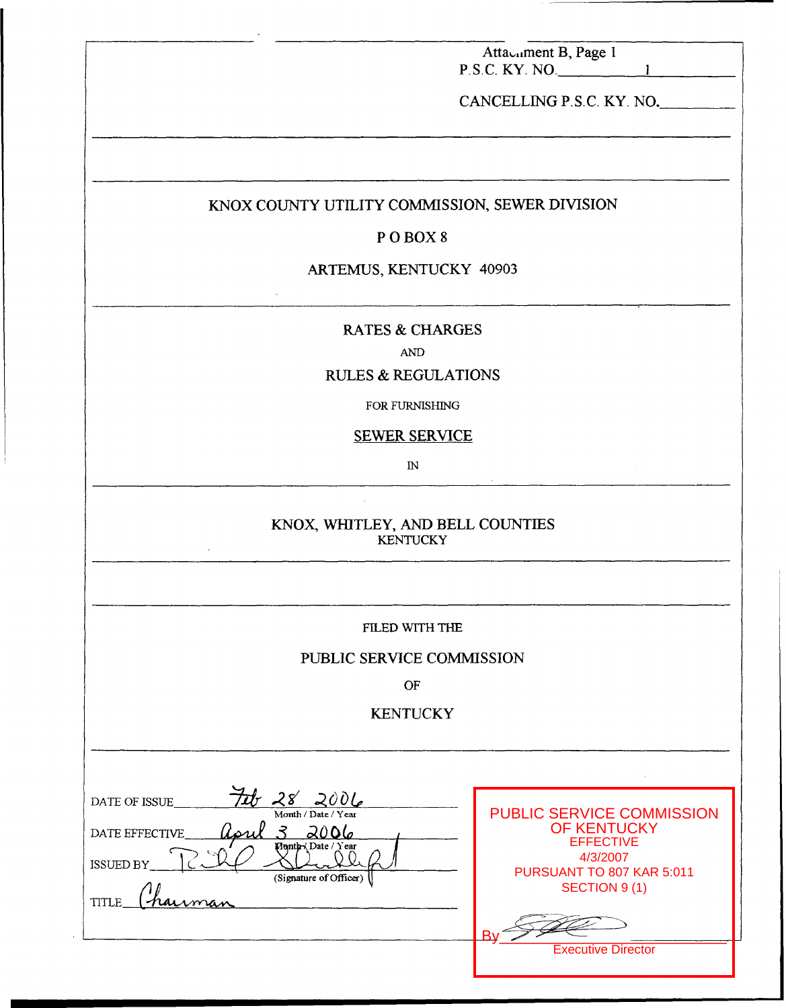|                                                                                                                                                                    | Attacament B, Page 1<br>$P.S.C.$ KY. NO.                                                                                                                                 |
|--------------------------------------------------------------------------------------------------------------------------------------------------------------------|--------------------------------------------------------------------------------------------------------------------------------------------------------------------------|
|                                                                                                                                                                    | CANCELLING P.S.C. KY. NO.                                                                                                                                                |
|                                                                                                                                                                    |                                                                                                                                                                          |
| KNOX COUNTY UTILITY COMMISSION, SEWER DIVISION                                                                                                                     |                                                                                                                                                                          |
| POBOX8                                                                                                                                                             |                                                                                                                                                                          |
| ARTEMUS, KENTUCKY 40903                                                                                                                                            |                                                                                                                                                                          |
| <b>RATES &amp; CHARGES</b><br><b>AND</b>                                                                                                                           |                                                                                                                                                                          |
| <b>RULES &amp; REGULATIONS</b>                                                                                                                                     |                                                                                                                                                                          |
| FOR FURNISHING                                                                                                                                                     |                                                                                                                                                                          |
| <b>SEWER SERVICE</b>                                                                                                                                               |                                                                                                                                                                          |
| $\mathbb{N}$                                                                                                                                                       |                                                                                                                                                                          |
| KNOX, WHITLEY, AND BELL COUNTIES<br><b>KENTUCKY</b>                                                                                                                |                                                                                                                                                                          |
| FILED WITH THE                                                                                                                                                     |                                                                                                                                                                          |
| PUBLIC SERVICE COMMISSION                                                                                                                                          |                                                                                                                                                                          |
| OF                                                                                                                                                                 |                                                                                                                                                                          |
| <b>KENTUCKY</b>                                                                                                                                                    |                                                                                                                                                                          |
|                                                                                                                                                                    |                                                                                                                                                                          |
| $28'$ 2006<br>DATE OF ISSUE<br>Month / Date / Year<br>$\mathcal{F}$<br>2006<br>DATE EFFECTIVE<br>Month Date / Year<br>ISSUED BY<br>(Signature of Officer)<br>TITLE | <b>PUBLIC SERVICE COMMISSION</b><br><b>OF KENTUCKY</b><br><b>EFFECTIVE</b><br>4/3/2007<br>PURSUANT TO 807 KAR 5:011<br><b>SECTION 9 (1)</b><br><b>Executive Director</b> |

 $\bar{\alpha}$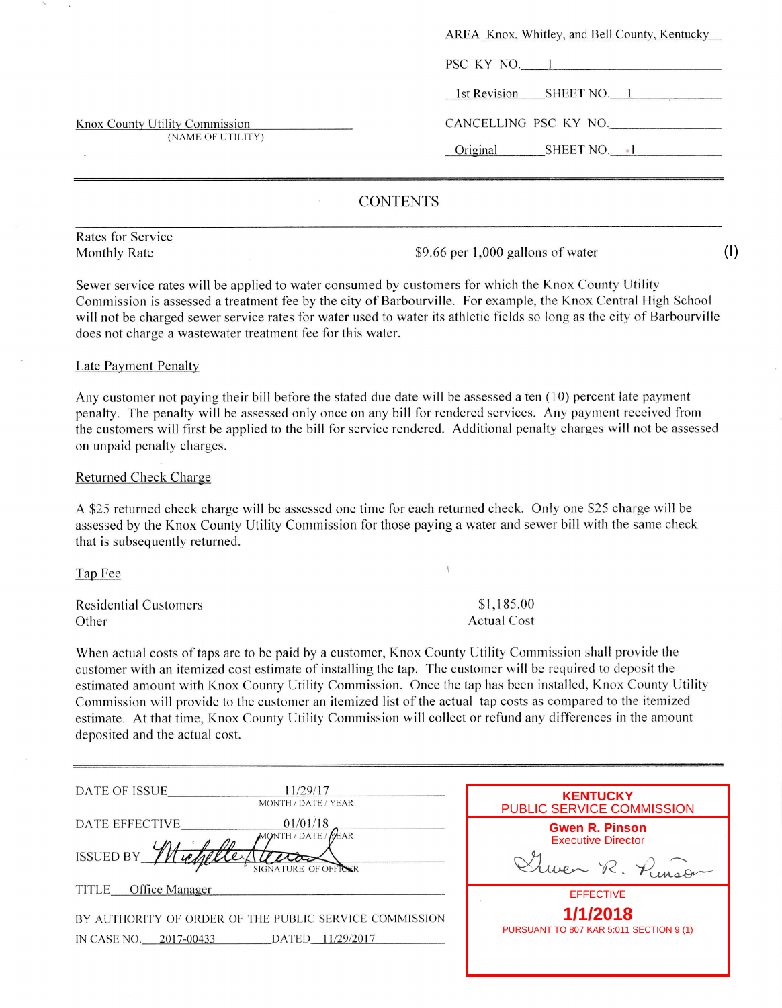|                                                     | AREA Knox, Whitley, and Bell County, Kentucky |
|-----------------------------------------------------|-----------------------------------------------|
|                                                     | PSC KY NO. 1                                  |
|                                                     | 1st Revision SHEET NO. 1                      |
| Knox County Utility Commission<br>(NAME OF UTILITY) | CANCELLING PSC KY NO.                         |
|                                                     | Original<br>SHEET NO. 1                       |
|                                                     |                                               |

# **CONTENTS**

Rates for Service

Monthly Rate  $$9.66$  per 1,000 gallons of water

(I)

Sewer service rates will be applied to water consumed by customers for which the Knox County Utility Commission is assessed a treatment fee by the city of Barbourville. For example, the Knox Central High School will not be charged sewer service rates for water used to water its athletic fields so long as the city of Barbourville does not charge a wastewater treatment fee for this water.

### Late Payment Penalty

Any customer not paying their bill before the stated due date will be assessed a ten (10) percent late payment penalty. The penalty will be assessed only once on any bill for rendered services. Any payrnent received from the customers will first be applied to the bill for service rendered. Additional penalty charges will not be assessed on unpaid penalty charges.

### Returned Check Charge

A \$25 returned check charge will be assessed one time for each returned check. Only one \$25 charge will be assessed by the Knox County Utility Commission for those paying a water and sewer bill with the same check that is subsequently returned.

Tap Fee

Residential Customers **Other** 

\$1,185.00 Actual Cost

When actual costs of taps are to be paid by a customer, Knox County Utility Commission shall provide the customer with an itemized cost estimate of installing the tap. The customer will be required to deposit the estimated amount with Knox County Utility Commission. Once the tap has been installed, Knox County Utility Commission will provide to the customer an itemized list of the actual tap costs as compared to the itemized estimate. At that time, Knox County Utility Commission will collect or refund any differences in the amount deposited and the actual cost.

| DATE OF ISSUE<br>11/29/17<br>MONTH / DATE / YEAR                                                                  | <b>KENTUCKY</b><br>PUBLIC SERVICE COMMISSION                                      |
|-------------------------------------------------------------------------------------------------------------------|-----------------------------------------------------------------------------------|
| 01/01/18<br>DATE EFFECTIVE<br>MONTH / DATE /<br>KEAR<br>ISSUED BY<br>ATURE OF OFFICER                             | <b>Gwen R. Pinson</b><br><b>Executive Director</b><br>$H_{\text{unco}}$<br>ven R. |
| Office Manager<br><b>TITLE</b>                                                                                    | <b>EFFECTIVE</b>                                                                  |
| BY AUTHORITY OF ORDER OF THE PUBLIC SERVICE COMMISSION<br>11/29/2017<br>IN CASE NO.<br>2017-00433<br><b>DATED</b> | 1/1/2018<br>PURSUANT TO 807 KAR 5:011 SECTION 9 (1)                               |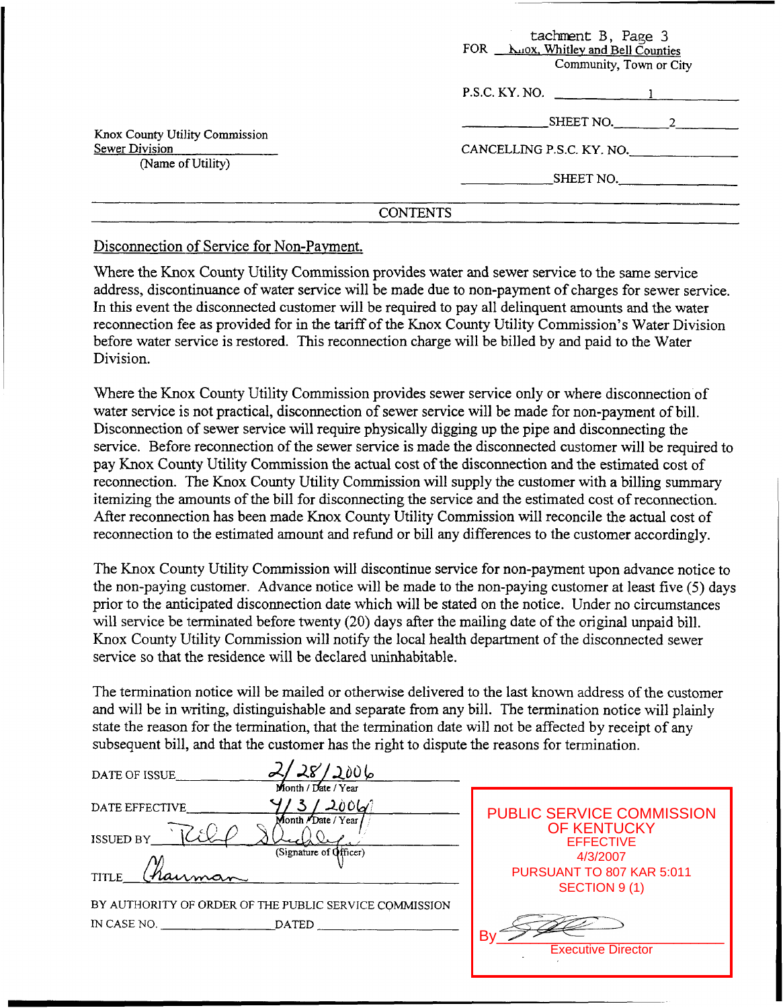|                                                                       | tachment B, Page 3<br>FOR <b>Luox</b> , Whitley and Bell Counties<br>Community, Town or City |
|-----------------------------------------------------------------------|----------------------------------------------------------------------------------------------|
|                                                                       | P.S.C. KY. NO. _____                                                                         |
| Knox County Utility Commission<br>Sewer Division<br>(Name of Utility) | $\text{SHEET NO.} \qquad \qquad 2$                                                           |
|                                                                       | CANCELLING P.S.C. KY. NO.                                                                    |
|                                                                       | SHEET NO.                                                                                    |
|                                                                       | CONTENTS                                                                                     |

### CONTENTS

## Disconnection of Service for Non-Payment.

Where the Knox County Utility Commission provides water and sewer service to the same service address, discontinuance of water service will be made due to non-payment of charges for sewer service. In this event the disconnected customer will be required to pay all delinquent amounts and the water reconnection fee as provided for in the tariff of the Knox County Utility Commission's Water Division before water service is restored. This reconnection charge will be billed by and paid to the Water Division.

Where the Knox County Utility Commission provides sewer service only or where disconnection of water service is not practical, disconnection of sewer service will be made for non-payment of bill. Disconnection of sewer service will require physically digging up the pipe and disconnecting the service. Before reconnection of the sewer service is made the disconnected customer will be required to pay Knox County Utility Commission the actual cost of the disconnection and the estimated cost of reconnection. The Knox County Utility Commission will supply the customer with a billing *summary*  itemizing the amounts of the bill for disconnecting the service and the estimated cost of reconnection. After reconnection has been made Knox County Utility Commission will reconcile the actual cost of reconnection to the estimated amount and refund or bill any differences to the customer accordingly.

The Knox County Utility Commission will discontinue service for non-payment upon advance notice to the non-paying customer. Advance notice will be made to the non-paying customer at least five (5) days prior to the anticipated disconnection date which will be stated on the notice. Under no circumstances will service be terminated before twenty (20) days after the mailing date of the original unpaid bill. Knox County Utility Commission will notify the local health department of the disconnected sewer service so that the residence will be declared uninhabitable.

The termination notice will be mailed or otherwise delivered to the last known address of the customer and will be in writing, distinguishable and separate from any bill. The termination notice will plainly state the reason for the termination, that the termination date will not be affected by receipt of any subsequent bill, and that the customer has the right to dispute the reasons for termination.

| DATE OF ISSUE                                          | $'$ 2006                        |  |
|--------------------------------------------------------|---------------------------------|--|
|                                                        | Month / Date / Year             |  |
| DATE EFFECTIVE                                         | $/$ 2006/<br>Month /Date / Year |  |
| いろ<br><b>ISSUED BY</b>                                 |                                 |  |
|                                                        | (Signature of Officer)          |  |
| TITLE_                                                 |                                 |  |
| BY AUTHORITY OF ORDER OF THE PUBLIC SERVICE COMMISSION |                                 |  |
|                                                        |                                 |  |
|                                                        |                                 |  |

| <b>PUBLIC SERVICE COMMISSION</b><br><b>OF KENTUCKY</b><br><b>FFFFCTIVE</b><br>4/3/2007<br>PURSUANT TO 807 KAR 5:011<br>SECTION 9(1) |
|-------------------------------------------------------------------------------------------------------------------------------------|
| <b>Executive Director</b>                                                                                                           |